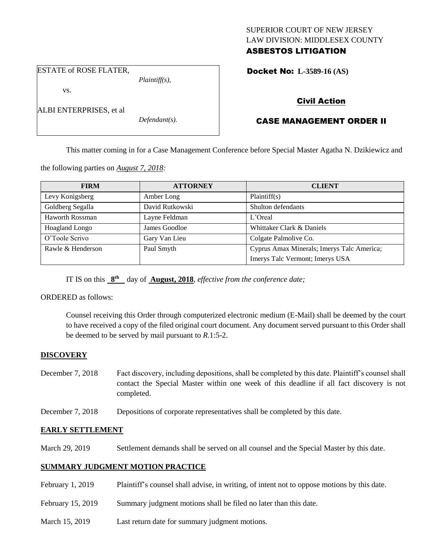## SUPERIOR COURT OF NEW JERSEY LAW DIVISION: MIDDLESEX COUNTY ASBESTOS LITIGATION

ESTATE of ROSE FLATER,

vs.

ALBI ENTERPRISES, et al

*Defendant(s).*

*Plaintiff(s),*

Docket No: **L-3589-16 (AS)** 

# Civil Action

# CASE MANAGEMENT ORDER II

This matter coming in for a Case Management Conference before Special Master Agatha N. Dzikiewicz and

the following parties on *August 7, 2018:*

| <b>FIRM</b>       | <b>ATTORNEY</b> | <b>CLIENT</b>                              |
|-------------------|-----------------|--------------------------------------------|
| Levy Konigsberg   | Amber Long      | Plaintiff(s)                               |
| Goldberg Segalla  | David Rutkowski | Shulton defendants                         |
| Haworth Rossman   | Layne Feldman   | $L'$ Oreal                                 |
| Hoagland Longo    | James Goodloe   | Whittaker Clark & Daniels                  |
| O'Toole Scrivo    | Gary Van Lieu   | Colgate Palmolive Co.                      |
| Rawle & Henderson | Paul Smyth      | Cyprus Amax Minerals; Imerys Talc America; |
|                   |                 | Imerys Talc Vermont; Imerys USA            |

IT IS on this  $8^{\text{th}}$  day of **August, 2018**, *effective from the conference date*;

ORDERED as follows:

Counsel receiving this Order through computerized electronic medium (E-Mail) shall be deemed by the court to have received a copy of the filed original court document. Any document served pursuant to this Order shall be deemed to be served by mail pursuant to *R*.1:5-2.

## **DISCOVERY**

- December 7, 2018 Fact discovery, including depositions, shall be completed by this date. Plaintiff's counsel shall contact the Special Master within one week of this deadline if all fact discovery is not completed.
- December 7, 2018 Depositions of corporate representatives shall be completed by this date.

## **EARLY SETTLEMENT**

March 29, 2019 Settlement demands shall be served on all counsel and the Special Master by this date.

## **SUMMARY JUDGMENT MOTION PRACTICE**

- February 1, 2019 Plaintiff's counsel shall advise, in writing, of intent not to oppose motions by this date.
- February 15, 2019 Summary judgment motions shall be filed no later than this date.
- March 15, 2019 Last return date for summary judgment motions.